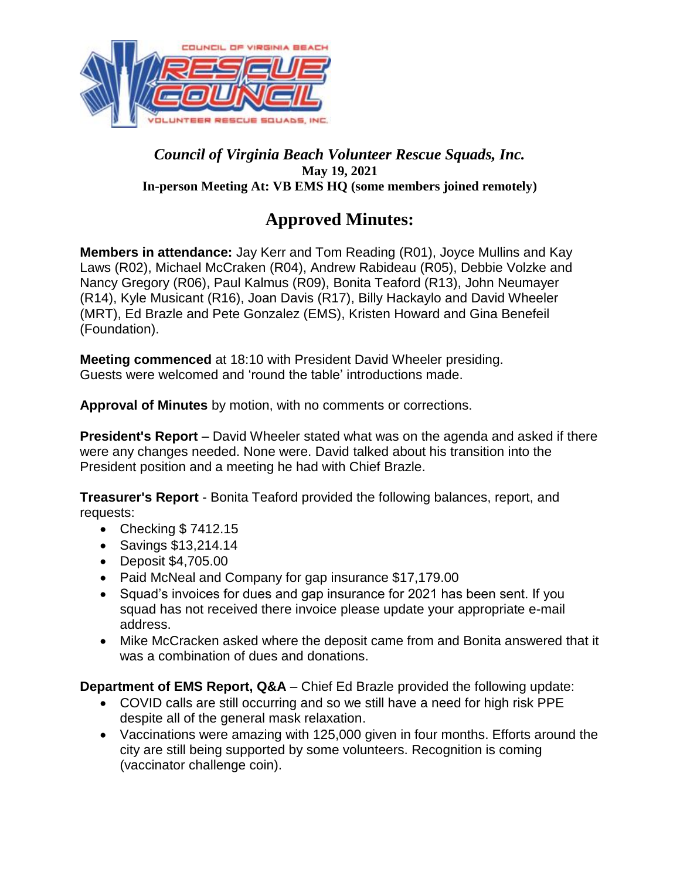

### *Council of Virginia Beach Volunteer Rescue Squads, Inc.*  **May 19, 2021 In-person Meeting At: VB EMS HQ (some members joined remotely)**

# **Approved Minutes:**

**Members in attendance:** Jay Kerr and Tom Reading (R01), Joyce Mullins and Kay Laws (R02), Michael McCraken (R04), Andrew Rabideau (R05), Debbie Volzke and Nancy Gregory (R06), Paul Kalmus (R09), Bonita Teaford (R13), John Neumayer (R14), Kyle Musicant (R16), Joan Davis (R17), Billy Hackaylo and David Wheeler (MRT), Ed Brazle and Pete Gonzalez (EMS), Kristen Howard and Gina Benefeil (Foundation).

**Meeting commenced** at 18:10 with President David Wheeler presiding. Guests were welcomed and 'round the table' introductions made.

**Approval of Minutes** by motion, with no comments or corrections.

**President's Report** – David Wheeler stated what was on the agenda and asked if there were any changes needed. None were. David talked about his transition into the President position and a meeting he had with Chief Brazle.

**Treasurer's Report** - Bonita Teaford provided the following balances, report, and requests:

- Checking \$7412.15
- Savings \$13,214.14
- Deposit \$4,705.00
- Paid McNeal and Company for gap insurance \$17,179.00
- Squad's invoices for dues and gap insurance for 2021 has been sent. If you squad has not received there invoice please update your appropriate e-mail address.
- Mike McCracken asked where the deposit came from and Bonita answered that it was a combination of dues and donations.

**Department of EMS Report, Q&A** – Chief Ed Brazle provided the following update:

- COVID calls are still occurring and so we still have a need for high risk PPE despite all of the general mask relaxation.
- Vaccinations were amazing with 125,000 given in four months. Efforts around the city are still being supported by some volunteers. Recognition is coming (vaccinator challenge coin).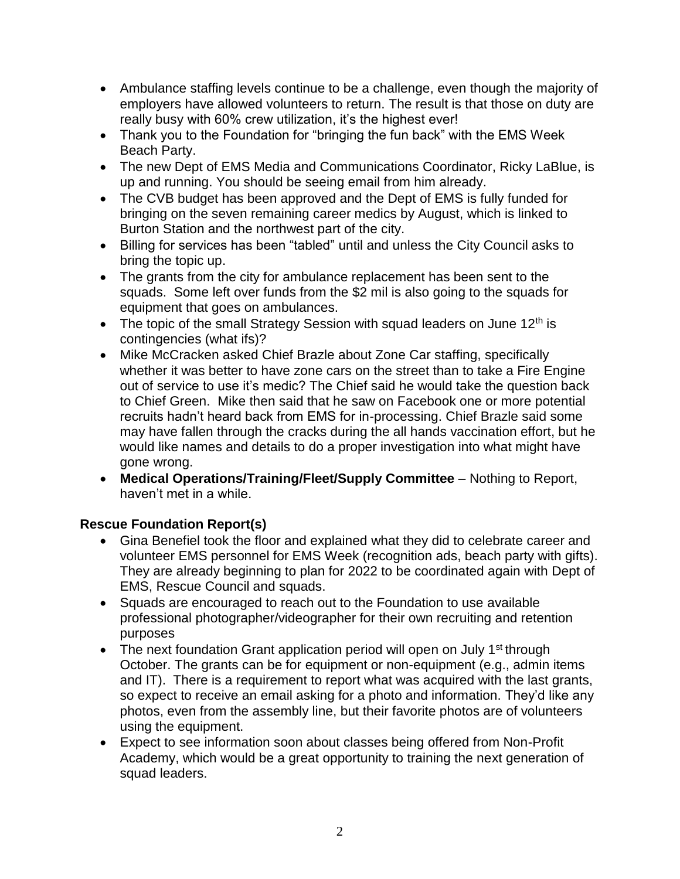- Ambulance staffing levels continue to be a challenge, even though the majority of employers have allowed volunteers to return. The result is that those on duty are really busy with 60% crew utilization, it's the highest ever!
- Thank you to the Foundation for "bringing the fun back" with the EMS Week Beach Party.
- The new Dept of EMS Media and Communications Coordinator, Ricky LaBlue, is up and running. You should be seeing email from him already.
- The CVB budget has been approved and the Dept of EMS is fully funded for bringing on the seven remaining career medics by August, which is linked to Burton Station and the northwest part of the city.
- Billing for services has been "tabled" until and unless the City Council asks to bring the topic up.
- The grants from the city for ambulance replacement has been sent to the squads. Some left over funds from the \$2 mil is also going to the squads for equipment that goes on ambulances.
- The topic of the small Strategy Session with squad leaders on June  $12<sup>th</sup>$  is contingencies (what ifs)?
- Mike McCracken asked Chief Brazle about Zone Car staffing, specifically whether it was better to have zone cars on the street than to take a Fire Engine out of service to use it's medic? The Chief said he would take the question back to Chief Green. Mike then said that he saw on Facebook one or more potential recruits hadn't heard back from EMS for in-processing. Chief Brazle said some may have fallen through the cracks during the all hands vaccination effort, but he would like names and details to do a proper investigation into what might have gone wrong.
- **Medical Operations/Training/Fleet/Supply Committee** Nothing to Report, haven't met in a while.

## **Rescue Foundation Report(s)**

- Gina Benefiel took the floor and explained what they did to celebrate career and volunteer EMS personnel for EMS Week (recognition ads, beach party with gifts). They are already beginning to plan for 2022 to be coordinated again with Dept of EMS, Rescue Council and squads.
- Squads are encouraged to reach out to the Foundation to use available professional photographer/videographer for their own recruiting and retention purposes
- The next foundation Grant application period will open on July 1<sup>st</sup> through October. The grants can be for equipment or non-equipment (e.g., admin items and IT). There is a requirement to report what was acquired with the last grants, so expect to receive an email asking for a photo and information. They'd like any photos, even from the assembly line, but their favorite photos are of volunteers using the equipment.
- Expect to see information soon about classes being offered from Non-Profit Academy, which would be a great opportunity to training the next generation of squad leaders.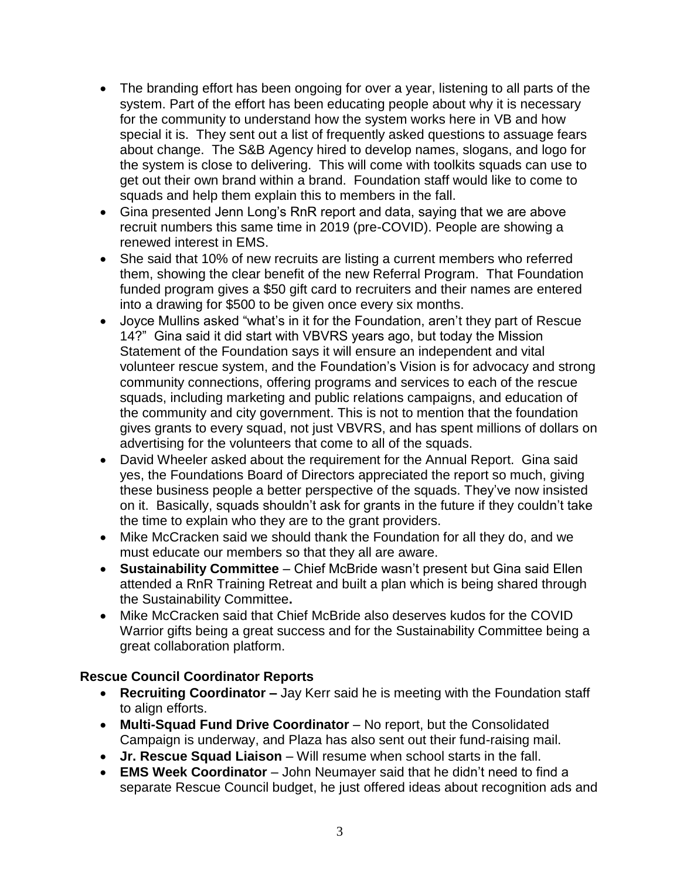- The branding effort has been ongoing for over a year, listening to all parts of the system. Part of the effort has been educating people about why it is necessary for the community to understand how the system works here in VB and how special it is. They sent out a list of frequently asked questions to assuage fears about change. The S&B Agency hired to develop names, slogans, and logo for the system is close to delivering. This will come with toolkits squads can use to get out their own brand within a brand. Foundation staff would like to come to squads and help them explain this to members in the fall.
- Gina presented Jenn Long's RnR report and data, saying that we are above recruit numbers this same time in 2019 (pre-COVID). People are showing a renewed interest in EMS.
- She said that 10% of new recruits are listing a current members who referred them, showing the clear benefit of the new Referral Program. That Foundation funded program gives a \$50 gift card to recruiters and their names are entered into a drawing for \$500 to be given once every six months.
- Joyce Mullins asked "what's in it for the Foundation, aren't they part of Rescue 14?" Gina said it did start with VBVRS years ago, but today the Mission Statement of the Foundation says it will ensure an independent and vital volunteer rescue system, and the Foundation's Vision is for advocacy and strong community connections, offering programs and services to each of the rescue squads, including marketing and public relations campaigns, and education of the community and city government. This is not to mention that the foundation gives grants to every squad, not just VBVRS, and has spent millions of dollars on advertising for the volunteers that come to all of the squads.
- David Wheeler asked about the requirement for the Annual Report. Gina said yes, the Foundations Board of Directors appreciated the report so much, giving these business people a better perspective of the squads. They've now insisted on it. Basically, squads shouldn't ask for grants in the future if they couldn't take the time to explain who they are to the grant providers.
- Mike McCracken said we should thank the Foundation for all they do, and we must educate our members so that they all are aware.
- **Sustainability Committee**  Chief McBride wasn't present but Gina said Ellen attended a RnR Training Retreat and built a plan which is being shared through the Sustainability Committee**.**
- Mike McCracken said that Chief McBride also deserves kudos for the COVID Warrior gifts being a great success and for the Sustainability Committee being a great collaboration platform.

#### **Rescue Council Coordinator Reports**

- **Recruiting Coordinator –** Jay Kerr said he is meeting with the Foundation staff to align efforts.
- **Multi-Squad Fund Drive Coordinator** No report, but the Consolidated Campaign is underway, and Plaza has also sent out their fund-raising mail.
- **Jr. Rescue Squad Liaison** Will resume when school starts in the fall.
- **EMS Week Coordinator** John Neumayer said that he didn't need to find a separate Rescue Council budget, he just offered ideas about recognition ads and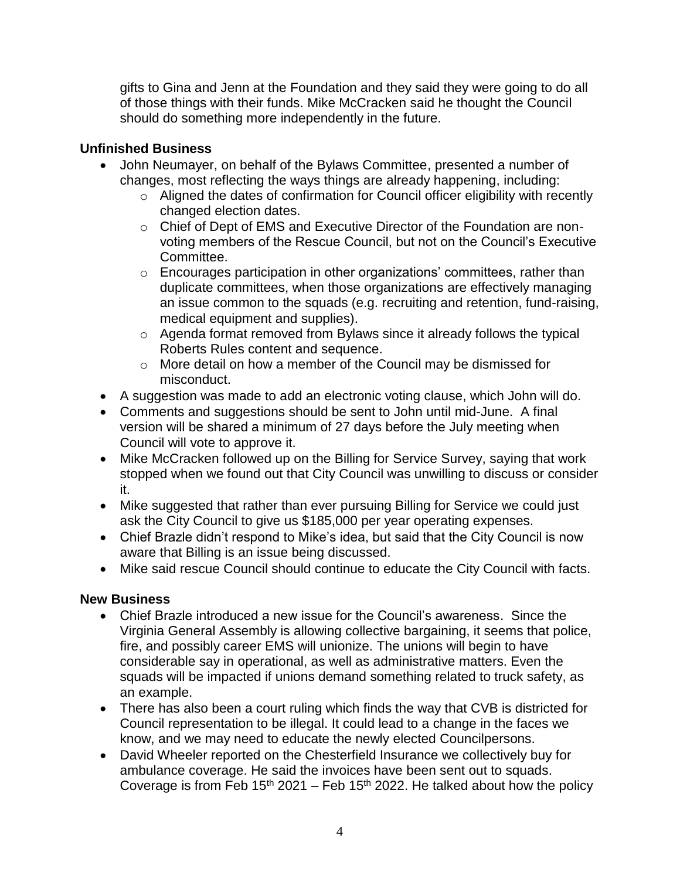gifts to Gina and Jenn at the Foundation and they said they were going to do all of those things with their funds. Mike McCracken said he thought the Council should do something more independently in the future.

### **Unfinished Business**

- John Neumayer, on behalf of the Bylaws Committee, presented a number of changes, most reflecting the ways things are already happening, including:
	- o Aligned the dates of confirmation for Council officer eligibility with recently changed election dates.
	- o Chief of Dept of EMS and Executive Director of the Foundation are nonvoting members of the Rescue Council, but not on the Council's Executive Committee.
	- o Encourages participation in other organizations' committees, rather than duplicate committees, when those organizations are effectively managing an issue common to the squads (e.g. recruiting and retention, fund-raising, medical equipment and supplies).
	- o Agenda format removed from Bylaws since it already follows the typical Roberts Rules content and sequence.
	- o More detail on how a member of the Council may be dismissed for misconduct.
- A suggestion was made to add an electronic voting clause, which John will do.
- Comments and suggestions should be sent to John until mid-June. A final version will be shared a minimum of 27 days before the July meeting when Council will vote to approve it.
- Mike McCracken followed up on the Billing for Service Survey, saying that work stopped when we found out that City Council was unwilling to discuss or consider it.
- Mike suggested that rather than ever pursuing Billing for Service we could just ask the City Council to give us \$185,000 per year operating expenses.
- Chief Brazle didn't respond to Mike's idea, but said that the City Council is now aware that Billing is an issue being discussed.
- Mike said rescue Council should continue to educate the City Council with facts.

## **New Business**

- Chief Brazle introduced a new issue for the Council's awareness. Since the Virginia General Assembly is allowing collective bargaining, it seems that police, fire, and possibly career EMS will unionize. The unions will begin to have considerable say in operational, as well as administrative matters. Even the squads will be impacted if unions demand something related to truck safety, as an example.
- There has also been a court ruling which finds the way that CVB is districted for Council representation to be illegal. It could lead to a change in the faces we know, and we may need to educate the newly elected Councilpersons.
- David Wheeler reported on the Chesterfield Insurance we collectively buy for ambulance coverage. He said the invoices have been sent out to squads. Coverage is from Feb 15<sup>th</sup> 2021 – Feb 15<sup>th</sup> 2022. He talked about how the policy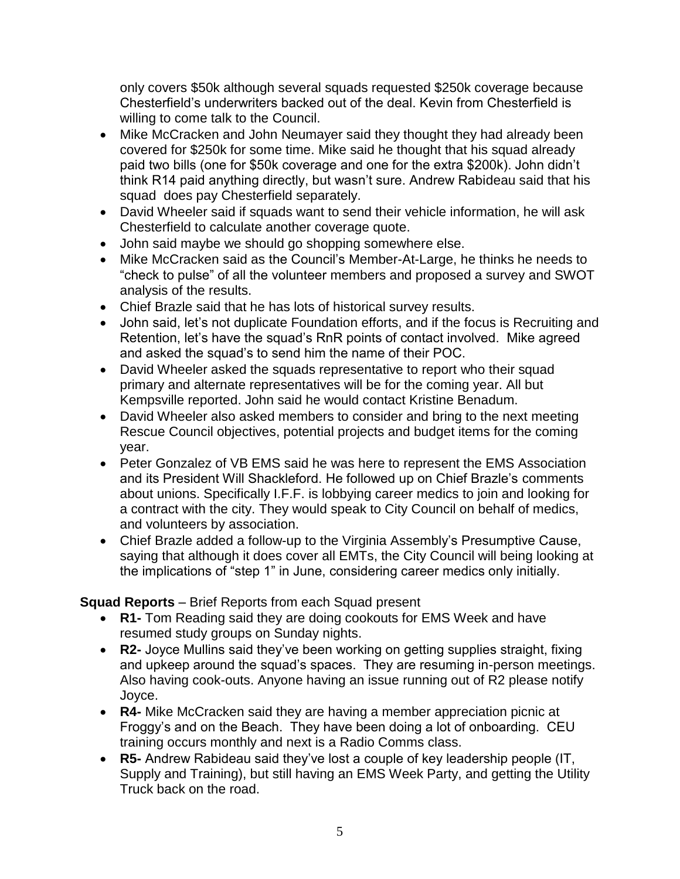only covers \$50k although several squads requested \$250k coverage because Chesterfield's underwriters backed out of the deal. Kevin from Chesterfield is willing to come talk to the Council.

- Mike McCracken and John Neumayer said they thought they had already been covered for \$250k for some time. Mike said he thought that his squad already paid two bills (one for \$50k coverage and one for the extra \$200k). John didn't think R14 paid anything directly, but wasn't sure. Andrew Rabideau said that his squad does pay Chesterfield separately.
- David Wheeler said if squads want to send their vehicle information, he will ask Chesterfield to calculate another coverage quote.
- John said maybe we should go shopping somewhere else.
- Mike McCracken said as the Council's Member-At-Large, he thinks he needs to "check to pulse" of all the volunteer members and proposed a survey and SWOT analysis of the results.
- Chief Brazle said that he has lots of historical survey results.
- John said, let's not duplicate Foundation efforts, and if the focus is Recruiting and Retention, let's have the squad's RnR points of contact involved. Mike agreed and asked the squad's to send him the name of their POC.
- David Wheeler asked the squads representative to report who their squad primary and alternate representatives will be for the coming year. All but Kempsville reported. John said he would contact Kristine Benadum.
- David Wheeler also asked members to consider and bring to the next meeting Rescue Council objectives, potential projects and budget items for the coming year.
- Peter Gonzalez of VB EMS said he was here to represent the EMS Association and its President Will Shackleford. He followed up on Chief Brazle's comments about unions. Specifically I.F.F. is lobbying career medics to join and looking for a contract with the city. They would speak to City Council on behalf of medics, and volunteers by association.
- Chief Brazle added a follow-up to the Virginia Assembly's Presumptive Cause, saying that although it does cover all EMTs, the City Council will being looking at the implications of "step 1" in June, considering career medics only initially.

## **Squad Reports** – Brief Reports from each Squad present

- **R1-** Tom Reading said they are doing cookouts for EMS Week and have resumed study groups on Sunday nights.
- **R2-** Joyce Mullins said they've been working on getting supplies straight, fixing and upkeep around the squad's spaces. They are resuming in-person meetings. Also having cook-outs. Anyone having an issue running out of R2 please notify Joyce.
- **R4-** Mike McCracken said they are having a member appreciation picnic at Froggy's and on the Beach. They have been doing a lot of onboarding. CEU training occurs monthly and next is a Radio Comms class.
- **R5-** Andrew Rabideau said they've lost a couple of key leadership people (IT, Supply and Training), but still having an EMS Week Party, and getting the Utility Truck back on the road.